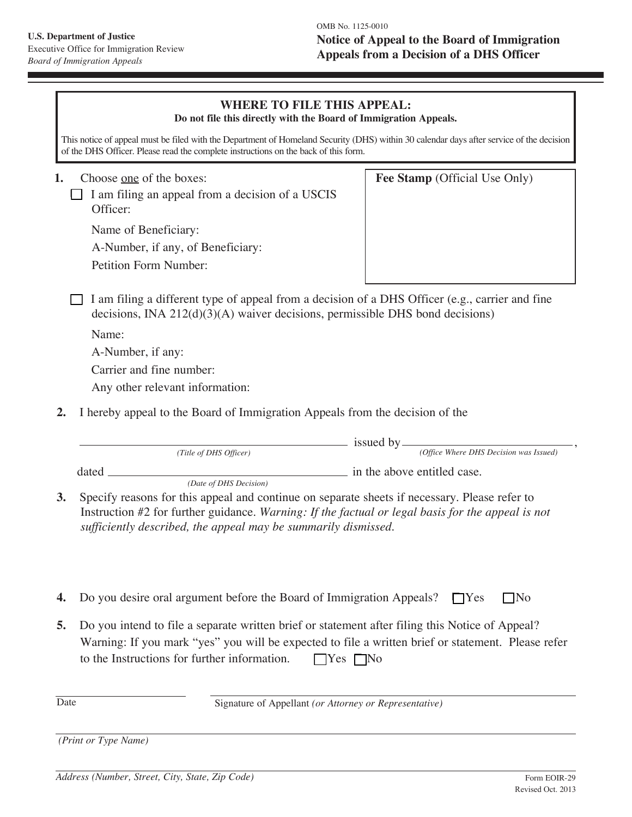## **WHERE TO FILE THIS APPEAL:**

**Do not file this directly with the Board of Immigration Appeals.**

This notice of appeal must be filed with the Department of Homeland Security (DHS) within 30 calendar days after service of the decision of the DHS Officer. Please read the complete instructions on the back of this form.

 **1.** Choose one of the boxes:

 $\Box$  I am filing an appeal from a decision of a USCIS Officer:

Name of Beneficiary:

A-Number, if any, of Beneficiary:

Petition Form Number:

**Fee Stamp** (Official Use Only)

 $\Box$  I am filing a different type of appeal from a decision of a DHS Officer (e.g., carrier and fine decisions, INA 212(d)(3)(A) waiver decisions, permissible DHS bond decisions)

Name:

A-Number, if any:

Carrier and fine number:

Any other relevant information:

**2.** I hereby appeal to the Board of Immigration Appeals from the decision of the

|    | (Title of DHS Officer)                                                                                                                                                                                                                                                                         | issued by.<br>(Office Where DHS Decision was Issued) |
|----|------------------------------------------------------------------------------------------------------------------------------------------------------------------------------------------------------------------------------------------------------------------------------------------------|------------------------------------------------------|
|    | dated                                                                                                                                                                                                                                                                                          | in the above entitled case.                          |
| 3. | (Date of DHS Decision)<br>Specify reasons for this appeal and continue on separate sheets if necessary. Please refer to<br>Instruction #2 for further guidance. Warning: If the factual or legal basis for the appeal is not<br>sufficiently described, the appeal may be summarily dismissed. |                                                      |
|    |                                                                                                                                                                                                                                                                                                |                                                      |
| 4. | Do you desire oral argument before the Board of Immigration Appeals?                                                                                                                                                                                                                           | IY es<br>IN <sub>O</sub>                             |

**5.** Do you intend to file a separate written brief or statement after filing this Notice of Appeal? Warning: If you mark "yes" you will be expected to file a written brief or statement. Please refer to the Instructions for further information.  $\Box$  Yes  $\Box$  No

Date Signature of Appellant (or Attorney or Representative)

 *(Print or Type Name)*